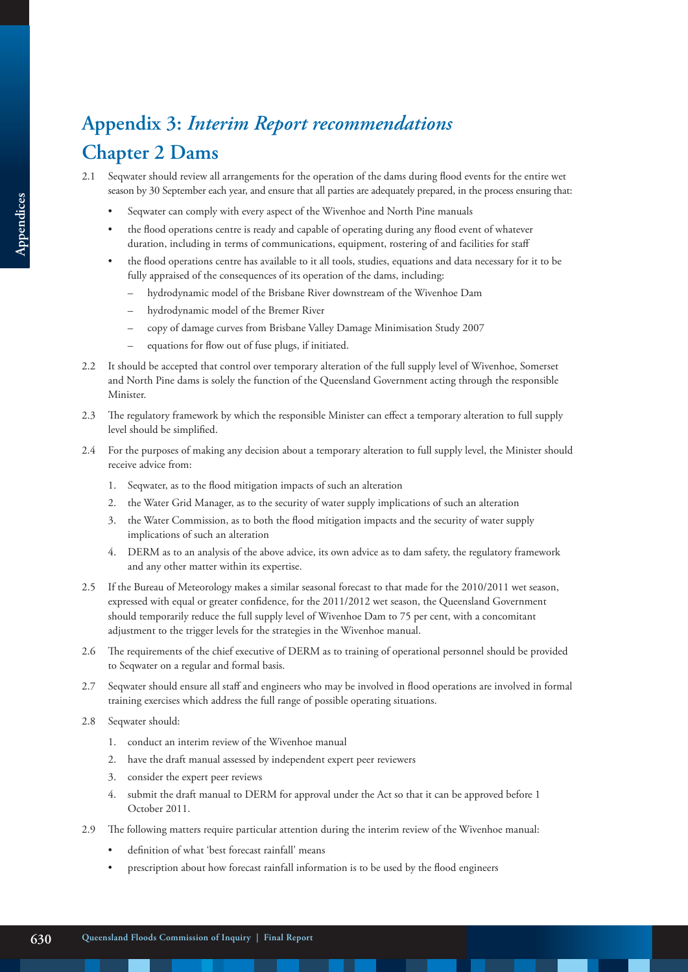# **Appendix 3:** *Interim Report recommendations* **Chapter 2 Dams**

- 2.1 Seqwater should review all arrangements for the operation of the dams during flood events for the entire wet season by 30 September each year, and ensure that all parties are adequately prepared, in the process ensuring that:
	- Seqwater can comply with every aspect of the Wivenhoe and North Pine manuals
	- the flood operations centre is ready and capable of operating during any flood event of whatever duration, including in terms of communications, equipment, rostering of and facilities for staff
	- the flood operations centre has available to it all tools, studies, equations and data necessary for it to be fully appraised of the consequences of its operation of the dams, including:
		- hydrodynamic model of the Brisbane River downstream of the Wivenhoe Dam
		- hydrodynamic model of the Bremer River
		- copy of damage curves from Brisbane Valley Damage Minimisation Study 2007
		- equations for flow out of fuse plugs, if initiated.
- 2.2 It should be accepted that control over temporary alteration of the full supply level of Wivenhoe, Somerset and North Pine dams is solely the function of the Queensland Government acting through the responsible Minister.
- 2.3 The regulatory framework by which the responsible Minister can effect a temporary alteration to full supply level should be simplified.
- 2.4 For the purposes of making any decision about a temporary alteration to full supply level, the Minister should receive advice from:
	- 1. Seqwater, as to the flood mitigation impacts of such an alteration
	- 2. the Water Grid Manager, as to the security of water supply implications of such an alteration
	- 3. the Water Commission, as to both the flood mitigation impacts and the security of water supply implications of such an alteration
	- 4. DERM as to an analysis of the above advice, its own advice as to dam safety, the regulatory framework and any other matter within its expertise.
- 2.5 If the Bureau of Meteorology makes a similar seasonal forecast to that made for the 2010/2011 wet season, expressed with equal or greater confidence, for the 2011/2012 wet season, the Queensland Government should temporarily reduce the full supply level of Wivenhoe Dam to 75 per cent, with a concomitant adjustment to the trigger levels for the strategies in the Wivenhoe manual.
- 2.6 The requirements of the chief executive of DERM as to training of operational personnel should be provided to Seqwater on a regular and formal basis.
- 2.7 Seqwater should ensure all staff and engineers who may be involved in flood operations are involved in formal training exercises which address the full range of possible operating situations.
- 2.8 Seqwater should:
	- 1. conduct an interim review of the Wivenhoe manual
	- 2. have the draft manual assessed by independent expert peer reviewers
	- 3. consider the expert peer reviews
	- 4. submit the draft manual to DERM for approval under the Act so that it can be approved before 1 October 2011.
- 2.9 The following matters require particular attention during the interim review of the Wivenhoe manual:
	- definition of what 'best forecast rainfall' means
	- prescription about how forecast rainfall information is to be used by the flood engineers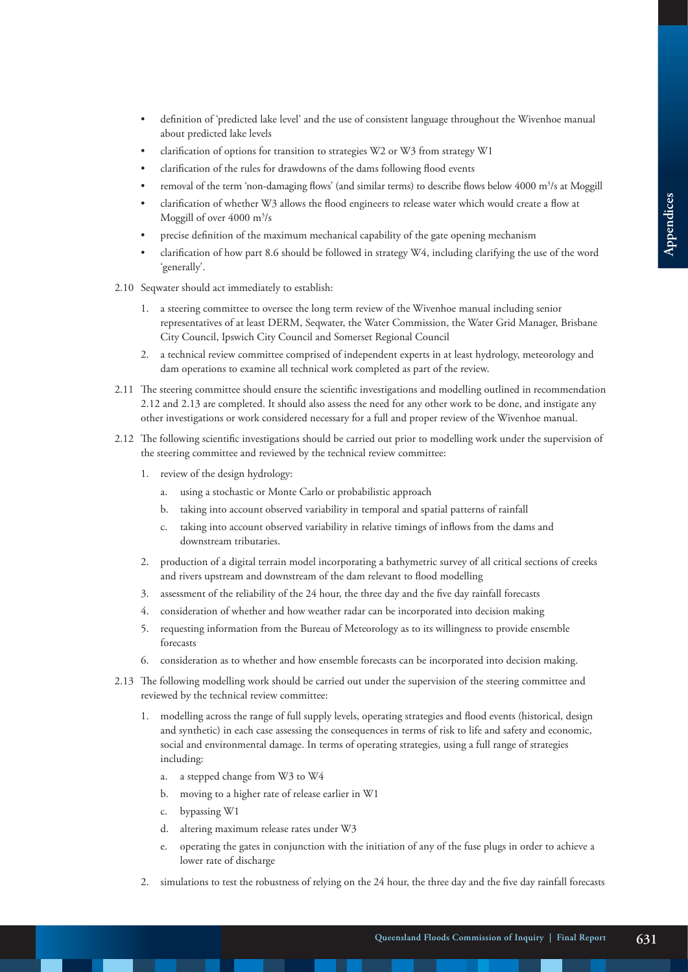- definition of 'predicted lake level' and the use of consistent language throughout the Wivenhoe manual about predicted lake levels
- clarification of options for transition to strategies W2 or W3 from strategy W1
- clarification of the rules for drawdowns of the dams following flood events
- removal of the term 'non-damaging flows' (and similar terms) to describe flows below 4000 m<sup>3</sup>/s at Moggill
- clarification of whether W3 allows the flood engineers to release water which would create a flow at Moggill of over 4000 m<sup>3</sup>/s
- precise definition of the maximum mechanical capability of the gate opening mechanism
- clarification of how part 8.6 should be followed in strategy W4, including clarifying the use of the word 'generally'.
- 2.10 Seqwater should act immediately to establish:
	- 1. a steering committee to oversee the long term review of the Wivenhoe manual including senior representatives of at least DERM, Seqwater, the Water Commission, the Water Grid Manager, Brisbane City Council, Ipswich City Council and Somerset Regional Council
	- 2. a technical review committee comprised of independent experts in at least hydrology, meteorology and dam operations to examine all technical work completed as part of the review.
- 2.11 The steering committee should ensure the scientific investigations and modelling outlined in recommendation 2.12 and 2.13 are completed. It should also assess the need for any other work to be done, and instigate any other investigations or work considered necessary for a full and proper review of the Wivenhoe manual.
- 2.12 The following scientific investigations should be carried out prior to modelling work under the supervision of the steering committee and reviewed by the technical review committee:
	- 1. review of the design hydrology:
		- a. using a stochastic or Monte Carlo or probabilistic approach
		- b. taking into account observed variability in temporal and spatial patterns of rainfall
		- c. taking into account observed variability in relative timings of inflows from the dams and downstream tributaries.
	- 2. production of a digital terrain model incorporating a bathymetric survey of all critical sections of creeks and rivers upstream and downstream of the dam relevant to flood modelling
	- 3. assessment of the reliability of the 24 hour, the three day and the five day rainfall forecasts
	- 4. consideration of whether and how weather radar can be incorporated into decision making
	- 5. requesting information from the Bureau of Meteorology as to its willingness to provide ensemble forecasts
	- 6. consideration as to whether and how ensemble forecasts can be incorporated into decision making.
- 2.13 The following modelling work should be carried out under the supervision of the steering committee and reviewed by the technical review committee:
	- 1. modelling across the range of full supply levels, operating strategies and flood events (historical, design and synthetic) in each case assessing the consequences in terms of risk to life and safety and economic, social and environmental damage. In terms of operating strategies, using a full range of strategies including:
		- a. a stepped change from W3 to W4
		- b. moving to a higher rate of release earlier in W1
		- c. bypassing W1
		- d. altering maximum release rates under W3
		- e. operating the gates in conjunction with the initiation of any of the fuse plugs in order to achieve a lower rate of discharge
	- 2. simulations to test the robustness of relying on the 24 hour, the three day and the five day rainfall forecasts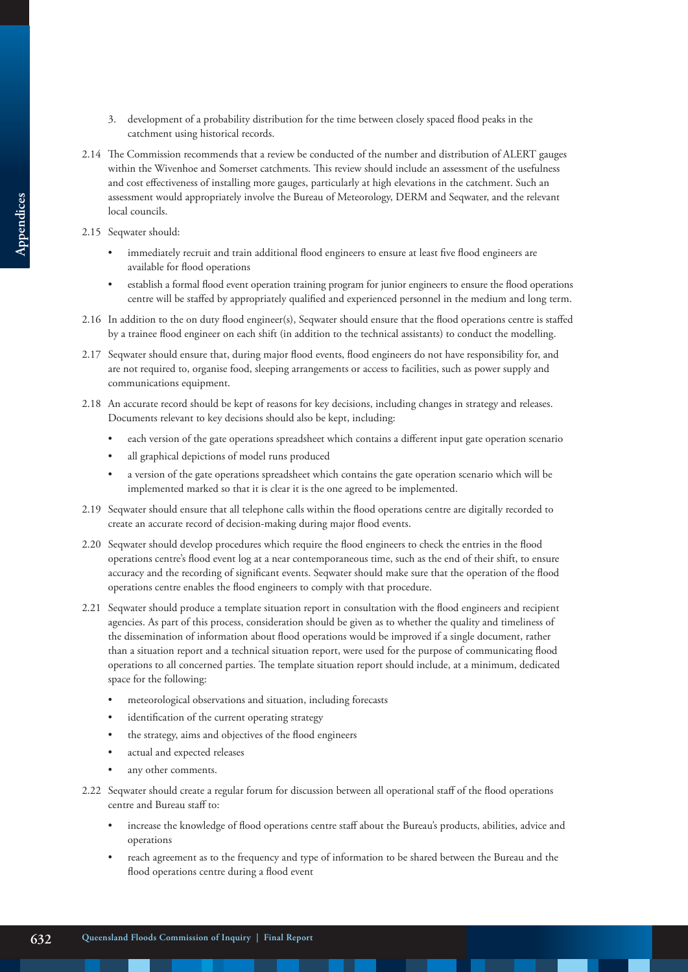- 3. development of a probability distribution for the time between closely spaced flood peaks in the catchment using historical records.
- 2.14 The Commission recommends that a review be conducted of the number and distribution of ALERT gauges within the Wivenhoe and Somerset catchments. This review should include an assessment of the usefulness and cost effectiveness of installing more gauges, particularly at high elevations in the catchment. Such an assessment would appropriately involve the Bureau of Meteorology, DERM and Seqwater, and the relevant local councils.
- 2.15 Seqwater should:
	- immediately recruit and train additional flood engineers to ensure at least five flood engineers are available for flood operations
	- establish a formal flood event operation training program for junior engineers to ensure the flood operations centre will be staffed by appropriately qualified and experienced personnel in the medium and long term.
- 2.16 In addition to the on duty flood engineer(s), Seqwater should ensure that the flood operations centre is staffed by a trainee flood engineer on each shift (in addition to the technical assistants) to conduct the modelling.
- 2.17 Seqwater should ensure that, during major flood events, flood engineers do not have responsibility for, and are not required to, organise food, sleeping arrangements or access to facilities, such as power supply and communications equipment.
- 2.18 An accurate record should be kept of reasons for key decisions, including changes in strategy and releases. Documents relevant to key decisions should also be kept, including:
	- each version of the gate operations spreadsheet which contains a different input gate operation scenario
	- all graphical depictions of model runs produced
	- a version of the gate operations spreadsheet which contains the gate operation scenario which will be implemented marked so that it is clear it is the one agreed to be implemented.
- 2.19 Seqwater should ensure that all telephone calls within the flood operations centre are digitally recorded to create an accurate record of decision-making during major flood events.
- 2.20 Seqwater should develop procedures which require the flood engineers to check the entries in the flood operations centre's flood event log at a near contemporaneous time, such as the end of their shift, to ensure accuracy and the recording of significant events. Seqwater should make sure that the operation of the flood operations centre enables the flood engineers to comply with that procedure.
- 2.21 Seqwater should produce a template situation report in consultation with the flood engineers and recipient agencies. As part of this process, consideration should be given as to whether the quality and timeliness of the dissemination of information about flood operations would be improved if a single document, rather than a situation report and a technical situation report, were used for the purpose of communicating flood operations to all concerned parties. The template situation report should include, at a minimum, dedicated space for the following:
	- meteorological observations and situation, including forecasts
	- identification of the current operating strategy
	- the strategy, aims and objectives of the flood engineers
	- actual and expected releases
	- any other comments.
- 2.22 Seqwater should create a regular forum for discussion between all operational staff of the flood operations centre and Bureau staff to:
	- increase the knowledge of flood operations centre staff about the Bureau's products, abilities, advice and operations
	- reach agreement as to the frequency and type of information to be shared between the Bureau and the flood operations centre during a flood event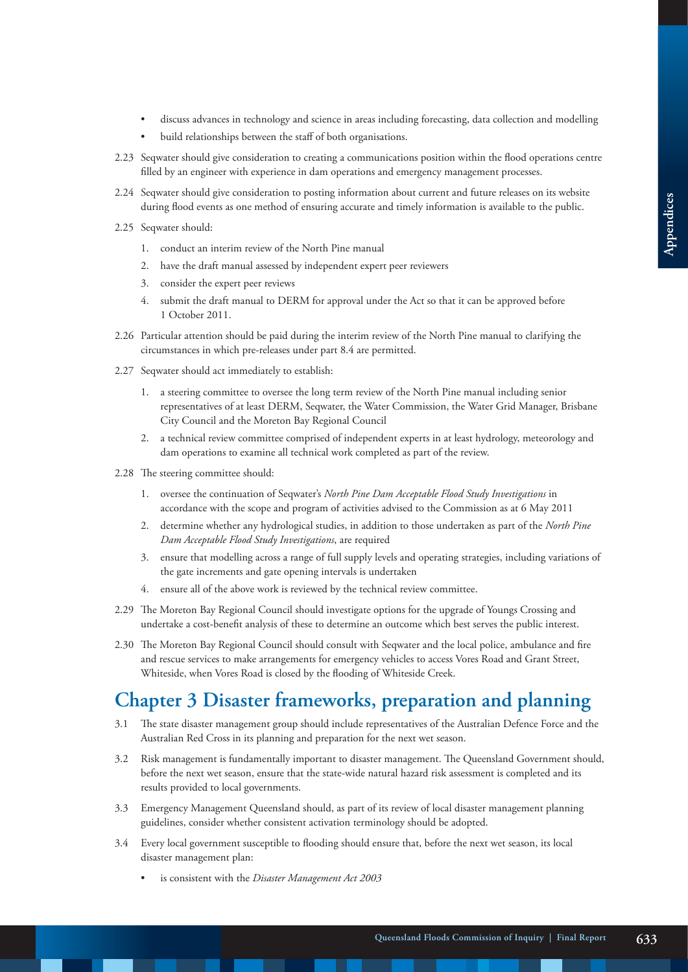- discuss advances in technology and science in areas including forecasting, data collection and modelling
- build relationships between the staff of both organisations.
- 2.23 Seqwater should give consideration to creating a communications position within the flood operations centre filled by an engineer with experience in dam operations and emergency management processes.
- 2.24 Seqwater should give consideration to posting information about current and future releases on its website during flood events as one method of ensuring accurate and timely information is available to the public.
- 2.25 Seqwater should:
	- 1. conduct an interim review of the North Pine manual
	- 2. have the draft manual assessed by independent expert peer reviewers
	- 3. consider the expert peer reviews
	- 4. submit the draft manual to DERM for approval under the Act so that it can be approved before 1 October 2011.
- 2.26 Particular attention should be paid during the interim review of the North Pine manual to clarifying the circumstances in which pre-releases under part 8.4 are permitted.
- 2.27 Seqwater should act immediately to establish:
	- 1. a steering committee to oversee the long term review of the North Pine manual including senior representatives of at least DERM, Seqwater, the Water Commission, the Water Grid Manager, Brisbane City Council and the Moreton Bay Regional Council
	- 2. a technical review committee comprised of independent experts in at least hydrology, meteorology and dam operations to examine all technical work completed as part of the review.
- 2.28 The steering committee should:
	- 1. oversee the continuation of Seqwater's *North Pine Dam Acceptable Flood Study Investigations* in accordance with the scope and program of activities advised to the Commission as at 6 May 2011
	- 2. determine whether any hydrological studies, in addition to those undertaken as part of the *North Pine Dam Acceptable Flood Study Investigations*, are required
	- 3. ensure that modelling across a range of full supply levels and operating strategies, including variations of the gate increments and gate opening intervals is undertaken
	- 4. ensure all of the above work is reviewed by the technical review committee.
- 2.29 The Moreton Bay Regional Council should investigate options for the upgrade of Youngs Crossing and undertake a cost-benefit analysis of these to determine an outcome which best serves the public interest.
- 2.30 The Moreton Bay Regional Council should consult with Seqwater and the local police, ambulance and fire and rescue services to make arrangements for emergency vehicles to access Vores Road and Grant Street, Whiteside, when Vores Road is closed by the flooding of Whiteside Creek.

# **Chapter 3 Disaster frameworks, preparation and planning**

- 3.1 The state disaster management group should include representatives of the Australian Defence Force and the Australian Red Cross in its planning and preparation for the next wet season.
- 3.2 Risk management is fundamentally important to disaster management. The Queensland Government should, before the next wet season, ensure that the state-wide natural hazard risk assessment is completed and its results provided to local governments.
- 3.3 Emergency Management Queensland should, as part of its review of local disaster management planning guidelines, consider whether consistent activation terminology should be adopted.
- 3.4 Every local government susceptible to flooding should ensure that, before the next wet season, its local disaster management plan:
	- is consistent with the *Disaster Management Act 2003*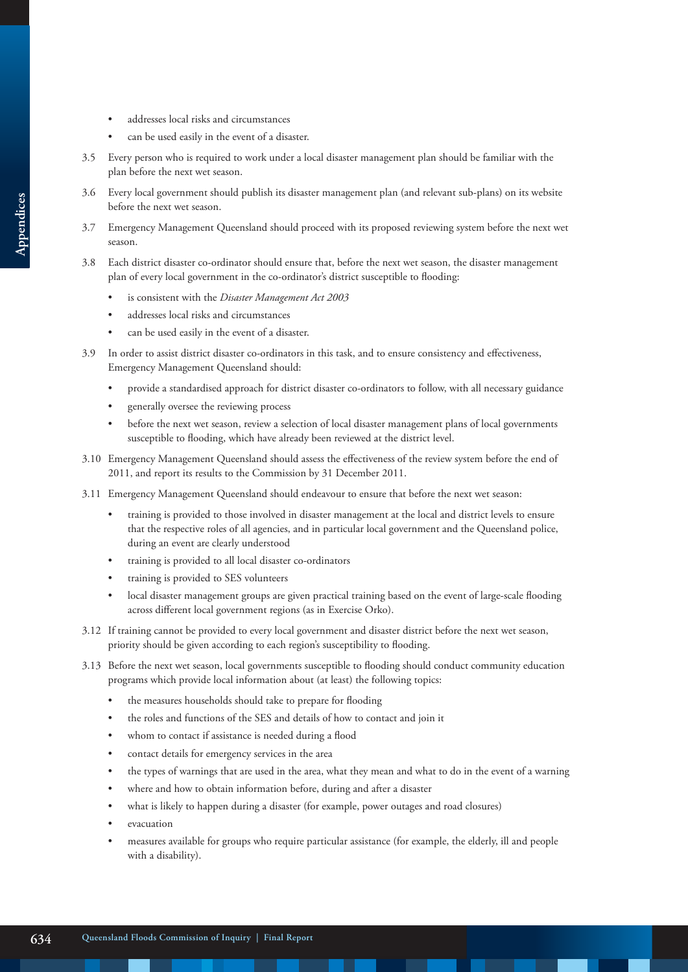- addresses local risks and circumstances
- can be used easily in the event of a disaster.
- 3.5 Every person who is required to work under a local disaster management plan should be familiar with the plan before the next wet season.
- 3.6 Every local government should publish its disaster management plan (and relevant sub-plans) on its website before the next wet season.
- 3.7 Emergency Management Queensland should proceed with its proposed reviewing system before the next wet season.
- 3.8 Each district disaster co-ordinator should ensure that, before the next wet season, the disaster management plan of every local government in the co-ordinator's district susceptible to flooding:
	- is consistent with the *Disaster Management Act 2003*
	- addresses local risks and circumstances
	- can be used easily in the event of a disaster.
- 3.9 In order to assist district disaster co-ordinators in this task, and to ensure consistency and effectiveness, Emergency Management Queensland should:
	- provide a standardised approach for district disaster co-ordinators to follow, with all necessary guidance
	- generally oversee the reviewing process
	- before the next wet season, review a selection of local disaster management plans of local governments susceptible to flooding, which have already been reviewed at the district level.
- 3.10 Emergency Management Queensland should assess the effectiveness of the review system before the end of 2011, and report its results to the Commission by 31 December 2011.
- 3.11 Emergency Management Queensland should endeavour to ensure that before the next wet season:
	- training is provided to those involved in disaster management at the local and district levels to ensure that the respective roles of all agencies, and in particular local government and the Queensland police, during an event are clearly understood
	- training is provided to all local disaster co-ordinators
	- training is provided to SES volunteers
	- local disaster management groups are given practical training based on the event of large-scale flooding across different local government regions (as in Exercise Orko).
- 3.12 If training cannot be provided to every local government and disaster district before the next wet season, priority should be given according to each region's susceptibility to flooding.
- 3.13 Before the next wet season, local governments susceptible to flooding should conduct community education programs which provide local information about (at least) the following topics:
	- the measures households should take to prepare for flooding
	- the roles and functions of the SES and details of how to contact and join it
	- whom to contact if assistance is needed during a flood
	- contact details for emergency services in the area
	- the types of warnings that are used in the area, what they mean and what to do in the event of a warning
	- where and how to obtain information before, during and after a disaster
	- what is likely to happen during a disaster (for example, power outages and road closures)
	- evacuation
	- measures available for groups who require particular assistance (for example, the elderly, ill and people with a disability).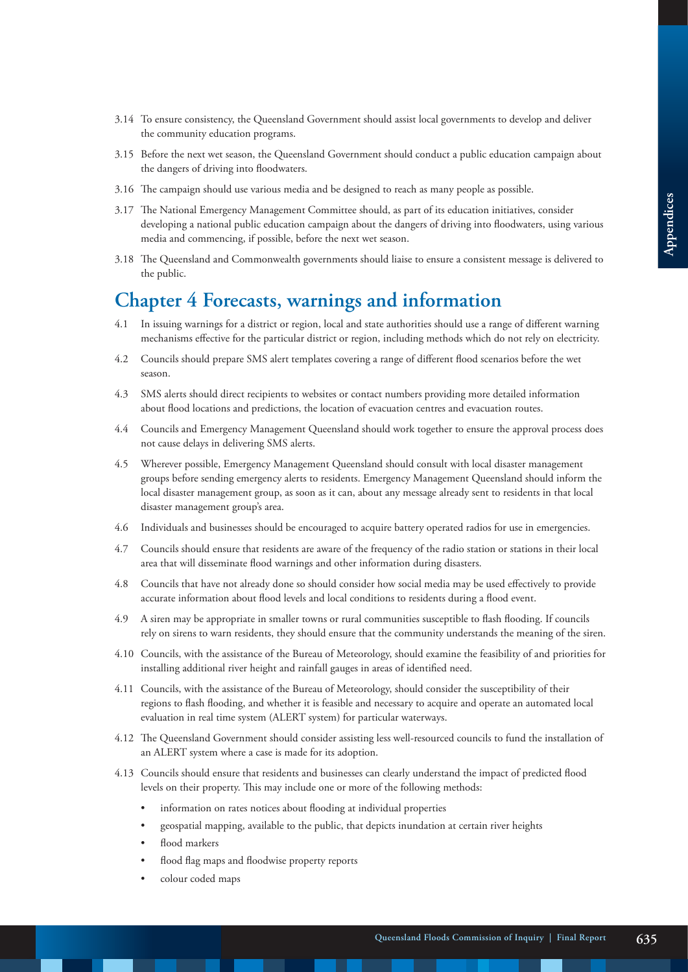- 3.14 To ensure consistency, the Queensland Government should assist local governments to develop and deliver the community education programs.
- 3.15 Before the next wet season, the Queensland Government should conduct a public education campaign about the dangers of driving into floodwaters.
- 3.16 The campaign should use various media and be designed to reach as many people as possible.
- 3.17 The National Emergency Management Committee should, as part of its education initiatives, consider developing a national public education campaign about the dangers of driving into floodwaters, using various media and commencing, if possible, before the next wet season.
- 3.18 The Queensland and Commonwealth governments should liaise to ensure a consistent message is delivered to the public.

### **Chapter 4 Forecasts, warnings and information**

- 4.1 In issuing warnings for a district or region, local and state authorities should use a range of different warning mechanisms effective for the particular district or region, including methods which do not rely on electricity.
- 4.2 Councils should prepare SMS alert templates covering a range of different flood scenarios before the wet season.
- 4.3 SMS alerts should direct recipients to websites or contact numbers providing more detailed information about flood locations and predictions, the location of evacuation centres and evacuation routes.
- 4.4 Councils and Emergency Management Queensland should work together to ensure the approval process does not cause delays in delivering SMS alerts.
- 4.5 Wherever possible, Emergency Management Queensland should consult with local disaster management groups before sending emergency alerts to residents. Emergency Management Queensland should inform the local disaster management group, as soon as it can, about any message already sent to residents in that local disaster management group's area.
- 4.6 Individuals and businesses should be encouraged to acquire battery operated radios for use in emergencies.
- 4.7 Councils should ensure that residents are aware of the frequency of the radio station or stations in their local area that will disseminate flood warnings and other information during disasters.
- 4.8 Councils that have not already done so should consider how social media may be used effectively to provide accurate information about flood levels and local conditions to residents during a flood event.
- 4.9 A siren may be appropriate in smaller towns or rural communities susceptible to flash flooding. If councils rely on sirens to warn residents, they should ensure that the community understands the meaning of the siren.
- 4.10 Councils, with the assistance of the Bureau of Meteorology, should examine the feasibility of and priorities for installing additional river height and rainfall gauges in areas of identified need.
- 4.11 Councils, with the assistance of the Bureau of Meteorology, should consider the susceptibility of their regions to flash flooding, and whether it is feasible and necessary to acquire and operate an automated local evaluation in real time system (ALERT system) for particular waterways.
- 4.12 The Queensland Government should consider assisting less well-resourced councils to fund the installation of an ALERT system where a case is made for its adoption.
- 4.13 Councils should ensure that residents and businesses can clearly understand the impact of predicted flood levels on their property. This may include one or more of the following methods:
	- information on rates notices about flooding at individual properties
	- geospatial mapping, available to the public, that depicts inundation at certain river heights
	- flood markers
	- flood flag maps and floodwise property reports
	- colour coded maps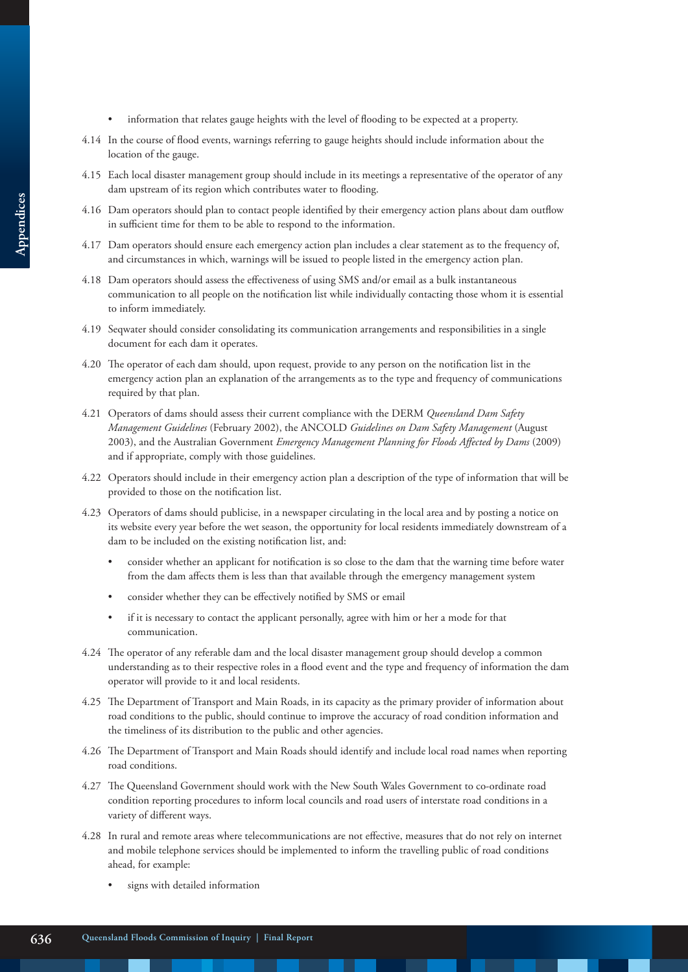- information that relates gauge heights with the level of flooding to be expected at a property.
- 4.14 In the course of flood events, warnings referring to gauge heights should include information about the location of the gauge.
- 4.15 Each local disaster management group should include in its meetings a representative of the operator of any dam upstream of its region which contributes water to flooding.
- 4.16 Dam operators should plan to contact people identified by their emergency action plans about dam outflow in sufficient time for them to be able to respond to the information.
- 4.17 Dam operators should ensure each emergency action plan includes a clear statement as to the frequency of, and circumstances in which, warnings will be issued to people listed in the emergency action plan.
- 4.18 Dam operators should assess the effectiveness of using SMS and/or email as a bulk instantaneous communication to all people on the notification list while individually contacting those whom it is essential to inform immediately.
- 4.19 Seqwater should consider consolidating its communication arrangements and responsibilities in a single document for each dam it operates.
- 4.20 The operator of each dam should, upon request, provide to any person on the notification list in the emergency action plan an explanation of the arrangements as to the type and frequency of communications required by that plan.
- 4.21 Operators of dams should assess their current compliance with the DERM *Queensland Dam Safety Management Guidelines* (February 2002), the ANCOLD *Guidelines on Dam Safety Management* (August 2003), and the Australian Government *Emergency Management Planning for Floods Affected by Dams* (2009) and if appropriate, comply with those guidelines.
- 4.22 Operators should include in their emergency action plan a description of the type of information that will be provided to those on the notification list.
- 4.23 Operators of dams should publicise, in a newspaper circulating in the local area and by posting a notice on its website every year before the wet season, the opportunity for local residents immediately downstream of a dam to be included on the existing notification list, and:
	- consider whether an applicant for notification is so close to the dam that the warning time before water from the dam affects them is less than that available through the emergency management system
	- consider whether they can be effectively notified by SMS or email
	- if it is necessary to contact the applicant personally, agree with him or her a mode for that communication.
- 4.24 The operator of any referable dam and the local disaster management group should develop a common understanding as to their respective roles in a flood event and the type and frequency of information the dam operator will provide to it and local residents.
- 4.25 The Department of Transport and Main Roads, in its capacity as the primary provider of information about road conditions to the public, should continue to improve the accuracy of road condition information and the timeliness of its distribution to the public and other agencies.
- 4.26 The Department of Transport and Main Roads should identify and include local road names when reporting road conditions.
- 4.27 The Queensland Government should work with the New South Wales Government to co-ordinate road condition reporting procedures to inform local councils and road users of interstate road conditions in a variety of different ways.
- 4.28 In rural and remote areas where telecommunications are not effective, measures that do not rely on internet and mobile telephone services should be implemented to inform the travelling public of road conditions ahead, for example:
	- signs with detailed information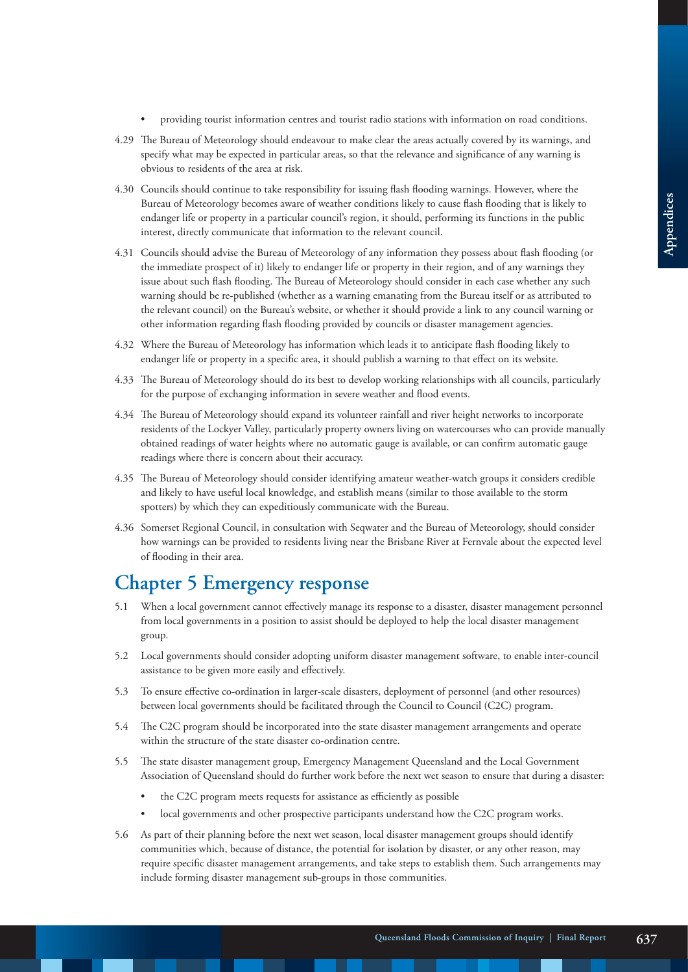- providing tourist information centres and tourist radio stations with information on road conditions.
- 4.29 The Bureau of Meteorology should endeavour to make clear the areas actually covered by its warnings, and specify what may be expected in particular areas, so that the relevance and significance of any warning is obvious to residents of the area at risk.
- 4.30 Councils should continue to take responsibility for issuing flash flooding warnings. However, where the Bureau of Meteorology becomes aware of weather conditions likely to cause flash flooding that is likely to endanger life or property in a particular council's region, it should, performing its functions in the public interest, directly communicate that information to the relevant council.
- 4.31 Councils should advise the Bureau of Meteorology of any information they possess about flash flooding (or the immediate prospect of it) likely to endanger life or property in their region, and of any warnings they issue about such flash flooding. The Bureau of Meteorology should consider in each case whether any such warning should be re-published (whether as a warning emanating from the Bureau itself or as attributed to the relevant council) on the Bureau's website, or whether it should provide a link to any council warning or other information regarding flash flooding provided by councils or disaster management agencies.
- 4.32 Where the Bureau of Meteorology has information which leads it to anticipate flash flooding likely to endanger life or property in a specific area, it should publish a warning to that effect on its website.
- 4.33 The Bureau of Meteorology should do its best to develop working relationships with all councils, particularly for the purpose of exchanging information in severe weather and flood events.
- 4.34 The Bureau of Meteorology should expand its volunteer rainfall and river height networks to incorporate residents of the Lockyer Valley, particularly property owners living on watercourses who can provide manually obtained readings of water heights where no automatic gauge is available, or can confirm automatic gauge readings where there is concern about their accuracy.
- 4.35 The Bureau of Meteorology should consider identifying amateur weather-watch groups it considers credible and likely to have useful local knowledge, and establish means (similar to those available to the storm spotters) by which they can expeditiously communicate with the Bureau.
- 4.36 Somerset Regional Council, in consultation with Seqwater and the Bureau of Meteorology, should consider how warnings can be provided to residents living near the Brisbane River at Fernvale about the expected level of flooding in their area.

# **Chapter 5 Emergency response**

- 5.1 When a local government cannot effectively manage its response to a disaster, disaster management personnel from local governments in a position to assist should be deployed to help the local disaster management group.
- 5.2 Local governments should consider adopting uniform disaster management software, to enable inter-council assistance to be given more easily and effectively.
- 5.3 To ensure effective co-ordination in larger-scale disasters, deployment of personnel (and other resources) between local governments should be facilitated through the Council to Council (C2C) program.
- 5.4 The C2C program should be incorporated into the state disaster management arrangements and operate within the structure of the state disaster co-ordination centre.
- 5.5 The state disaster management group, Emergency Management Queensland and the Local Government Association of Queensland should do further work before the next wet season to ensure that during a disaster:
	- the C2C program meets requests for assistance as efficiently as possible
	- local governments and other prospective participants understand how the C2C program works.
- 5.6 As part of their planning before the next wet season, local disaster management groups should identify communities which, because of distance, the potential for isolation by disaster, or any other reason, may require specific disaster management arrangements, and take steps to establish them. Such arrangements may include forming disaster management sub-groups in those communities.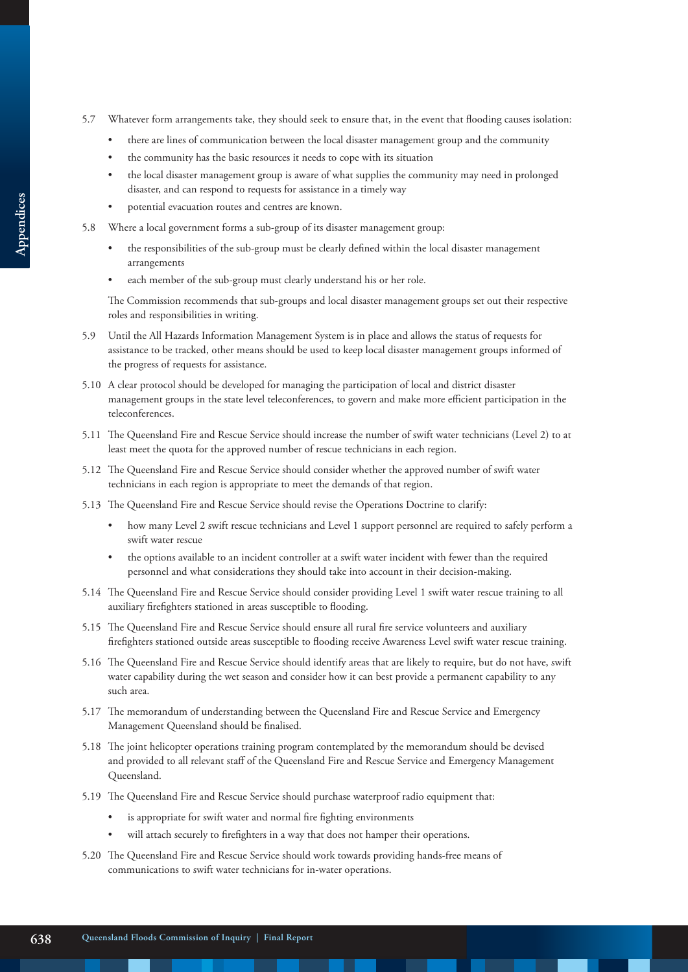- 5.7 Whatever form arrangements take, they should seek to ensure that, in the event that flooding causes isolation:
	- there are lines of communication between the local disaster management group and the community
	- the community has the basic resources it needs to cope with its situation
	- the local disaster management group is aware of what supplies the community may need in prolonged disaster, and can respond to requests for assistance in a timely way
	- potential evacuation routes and centres are known.
- 5.8 Where a local government forms a sub-group of its disaster management group:
	- the responsibilities of the sub-group must be clearly defined within the local disaster management arrangements
	- each member of the sub-group must clearly understand his or her role.

The Commission recommends that sub-groups and local disaster management groups set out their respective roles and responsibilities in writing.

- 5.9 Until the All Hazards Information Management System is in place and allows the status of requests for assistance to be tracked, other means should be used to keep local disaster management groups informed of the progress of requests for assistance.
- 5.10 A clear protocol should be developed for managing the participation of local and district disaster management groups in the state level teleconferences, to govern and make more efficient participation in the teleconferences.
- 5.11 The Queensland Fire and Rescue Service should increase the number of swift water technicians (Level 2) to at least meet the quota for the approved number of rescue technicians in each region.
- 5.12 The Queensland Fire and Rescue Service should consider whether the approved number of swift water technicians in each region is appropriate to meet the demands of that region.
- 5.13 The Queensland Fire and Rescue Service should revise the Operations Doctrine to clarify:
	- how many Level 2 swift rescue technicians and Level 1 support personnel are required to safely perform a swift water rescue
	- the options available to an incident controller at a swift water incident with fewer than the required personnel and what considerations they should take into account in their decision-making.
- 5.14 The Queensland Fire and Rescue Service should consider providing Level 1 swift water rescue training to all auxiliary firefighters stationed in areas susceptible to flooding.
- 5.15 The Queensland Fire and Rescue Service should ensure all rural fire service volunteers and auxiliary firefighters stationed outside areas susceptible to flooding receive Awareness Level swift water rescue training.
- 5.16 The Queensland Fire and Rescue Service should identify areas that are likely to require, but do not have, swift water capability during the wet season and consider how it can best provide a permanent capability to any such area.
- 5.17 The memorandum of understanding between the Queensland Fire and Rescue Service and Emergency Management Queensland should be finalised.
- 5.18 The joint helicopter operations training program contemplated by the memorandum should be devised and provided to all relevant staff of the Queensland Fire and Rescue Service and Emergency Management Queensland.
- 5.19 The Queensland Fire and Rescue Service should purchase waterproof radio equipment that:
	- is appropriate for swift water and normal fire fighting environments
	- will attach securely to firefighters in a way that does not hamper their operations.
- 5.20 The Queensland Fire and Rescue Service should work towards providing hands-free means of communications to swift water technicians for in-water operations.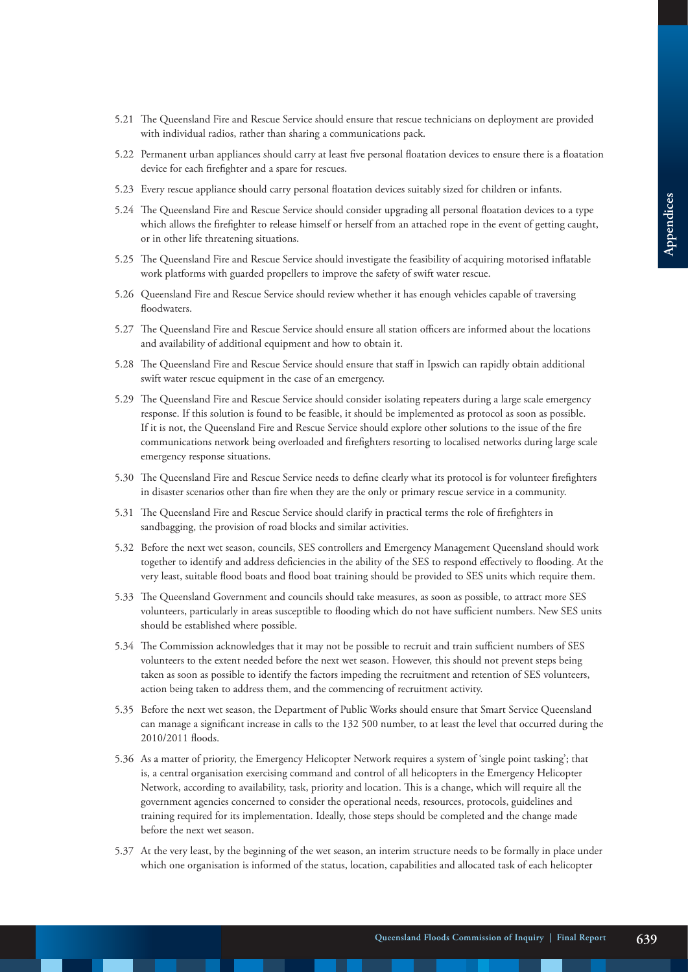- 5.21 The Queensland Fire and Rescue Service should ensure that rescue technicians on deployment are provided with individual radios, rather than sharing a communications pack.
- 5.22 Permanent urban appliances should carry at least five personal floatation devices to ensure there is a floatation device for each firefighter and a spare for rescues.
- 5.23 Every rescue appliance should carry personal floatation devices suitably sized for children or infants.
- 5.24 The Queensland Fire and Rescue Service should consider upgrading all personal floatation devices to a type which allows the firefighter to release himself or herself from an attached rope in the event of getting caught, or in other life threatening situations.
- 5.25 The Queensland Fire and Rescue Service should investigate the feasibility of acquiring motorised inflatable work platforms with guarded propellers to improve the safety of swift water rescue.
- 5.26 Queensland Fire and Rescue Service should review whether it has enough vehicles capable of traversing floodwaters.
- 5.27 The Queensland Fire and Rescue Service should ensure all station officers are informed about the locations and availability of additional equipment and how to obtain it.
- 5.28 The Queensland Fire and Rescue Service should ensure that staff in Ipswich can rapidly obtain additional swift water rescue equipment in the case of an emergency.
- 5.29 The Queensland Fire and Rescue Service should consider isolating repeaters during a large scale emergency response. If this solution is found to be feasible, it should be implemented as protocol as soon as possible. If it is not, the Queensland Fire and Rescue Service should explore other solutions to the issue of the fire communications network being overloaded and firefighters resorting to localised networks during large scale emergency response situations.
- 5.30 The Queensland Fire and Rescue Service needs to define clearly what its protocol is for volunteer firefighters in disaster scenarios other than fire when they are the only or primary rescue service in a community.
- 5.31 The Queensland Fire and Rescue Service should clarify in practical terms the role of firefighters in sandbagging, the provision of road blocks and similar activities.
- 5.32 Before the next wet season, councils, SES controllers and Emergency Management Queensland should work together to identify and address deficiencies in the ability of the SES to respond effectively to flooding. At the very least, suitable flood boats and flood boat training should be provided to SES units which require them.
- 5.33 The Queensland Government and councils should take measures, as soon as possible, to attract more SES volunteers, particularly in areas susceptible to flooding which do not have sufficient numbers. New SES units should be established where possible.
- 5.34 The Commission acknowledges that it may not be possible to recruit and train sufficient numbers of SES volunteers to the extent needed before the next wet season. However, this should not prevent steps being taken as soon as possible to identify the factors impeding the recruitment and retention of SES volunteers, action being taken to address them, and the commencing of recruitment activity.
- 5.35 Before the next wet season, the Department of Public Works should ensure that Smart Service Queensland can manage a significant increase in calls to the 132 500 number, to at least the level that occurred during the 2010/2011 floods.
- 5.36 As a matter of priority, the Emergency Helicopter Network requires a system of 'single point tasking'; that is, a central organisation exercising command and control of all helicopters in the Emergency Helicopter Network, according to availability, task, priority and location. This is a change, which will require all the government agencies concerned to consider the operational needs, resources, protocols, guidelines and training required for its implementation. Ideally, those steps should be completed and the change made before the next wet season.
- 5.37 At the very least, by the beginning of the wet season, an interim structure needs to be formally in place under which one organisation is informed of the status, location, capabilities and allocated task of each helicopter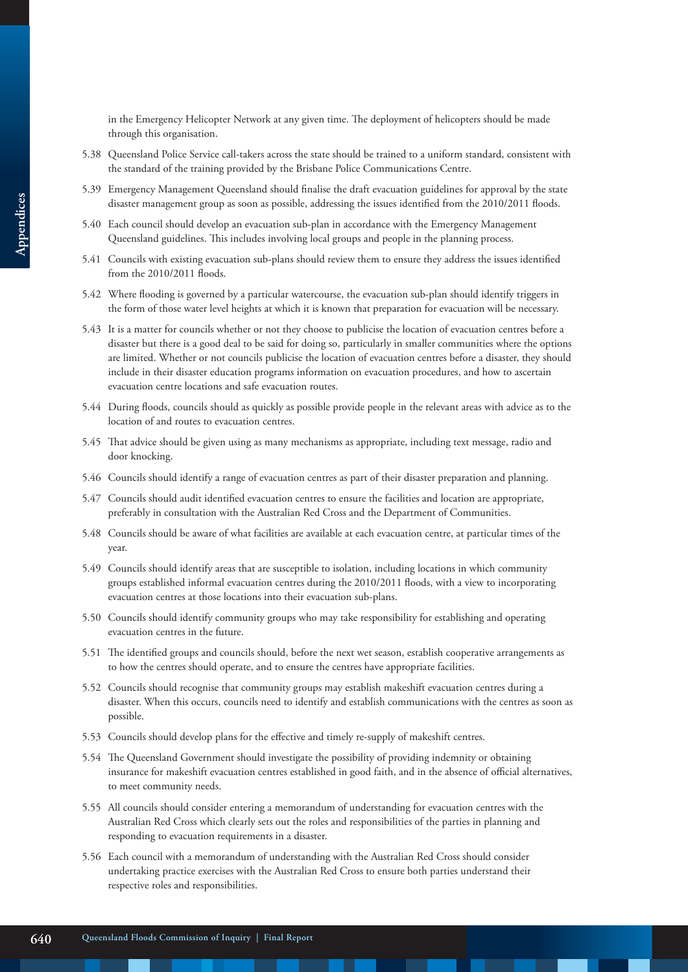in the Emergency Helicopter Network at any given time. The deployment of helicopters should be made through this organisation.

- 5.38 Queensland Police Service call-takers across the state should be trained to a uniform standard, consistent with the standard of the training provided by the Brisbane Police Communications Centre.
- 5.39 Emergency Management Queensland should finalise the draft evacuation guidelines for approval by the state disaster management group as soon as possible, addressing the issues identified from the 2010/2011 floods.
- 5.40 Each council should develop an evacuation sub-plan in accordance with the Emergency Management Queensland guidelines. This includes involving local groups and people in the planning process.
- 5.41 Councils with existing evacuation sub-plans should review them to ensure they address the issues identified from the 2010/2011 floods.
- 5.42 Where flooding is governed by a particular watercourse, the evacuation sub-plan should identify triggers in the form of those water level heights at which it is known that preparation for evacuation will be necessary.
- 5.43 It is a matter for councils whether or not they choose to publicise the location of evacuation centres before a disaster but there is a good deal to be said for doing so, particularly in smaller communities where the options are limited. Whether or not councils publicise the location of evacuation centres before a disaster, they should include in their disaster education programs information on evacuation procedures, and how to ascertain evacuation centre locations and safe evacuation routes.
- 5.44 During floods, councils should as quickly as possible provide people in the relevant areas with advice as to the location of and routes to evacuation centres.
- 5.45 That advice should be given using as many mechanisms as appropriate, including text message, radio and door knocking.
- 5.46 Councils should identify a range of evacuation centres as part of their disaster preparation and planning.
- 5.47 Councils should audit identified evacuation centres to ensure the facilities and location are appropriate, preferably in consultation with the Australian Red Cross and the Department of Communities.
- 5.48 Councils should be aware of what facilities are available at each evacuation centre, at particular times of the year.
- 5.49 Councils should identify areas that are susceptible to isolation, including locations in which community groups established informal evacuation centres during the 2010/2011 floods, with a view to incorporating evacuation centres at those locations into their evacuation sub-plans.
- 5.50 Councils should identify community groups who may take responsibility for establishing and operating evacuation centres in the future.
- 5.51 The identified groups and councils should, before the next wet season, establish cooperative arrangements as to how the centres should operate, and to ensure the centres have appropriate facilities.
- 5.52 Councils should recognise that community groups may establish makeshift evacuation centres during a disaster. When this occurs, councils need to identify and establish communications with the centres as soon as possible.
- 5.53 Councils should develop plans for the effective and timely re-supply of makeshift centres.
- 5.54 The Queensland Government should investigate the possibility of providing indemnity or obtaining insurance for makeshift evacuation centres established in good faith, and in the absence of official alternatives, to meet community needs.
- 5.55 All councils should consider entering a memorandum of understanding for evacuation centres with the Australian Red Cross which clearly sets out the roles and responsibilities of the parties in planning and responding to evacuation requirements in a disaster.
- 5.56 Each council with a memorandum of understanding with the Australian Red Cross should consider undertaking practice exercises with the Australian Red Cross to ensure both parties understand their respective roles and responsibilities.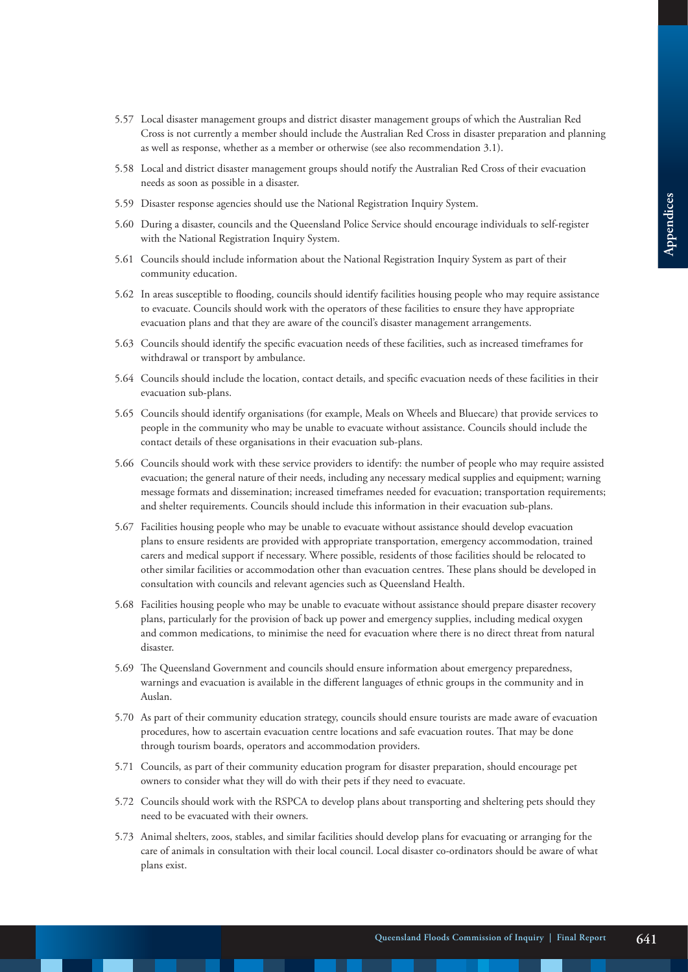- 5.57 Local disaster management groups and district disaster management groups of which the Australian Red Cross is not currently a member should include the Australian Red Cross in disaster preparation and planning as well as response, whether as a member or otherwise (see also recommendation 3.1).
- 5.58 Local and district disaster management groups should notify the Australian Red Cross of their evacuation needs as soon as possible in a disaster.
- 5.59 Disaster response agencies should use the National Registration Inquiry System.
- 5.60 During a disaster, councils and the Queensland Police Service should encourage individuals to self-register with the National Registration Inquiry System.
- 5.61 Councils should include information about the National Registration Inquiry System as part of their community education.
- 5.62 In areas susceptible to flooding, councils should identify facilities housing people who may require assistance to evacuate. Councils should work with the operators of these facilities to ensure they have appropriate evacuation plans and that they are aware of the council's disaster management arrangements.
- 5.63 Councils should identify the specific evacuation needs of these facilities, such as increased timeframes for withdrawal or transport by ambulance.
- 5.64 Councils should include the location, contact details, and specific evacuation needs of these facilities in their evacuation sub-plans.
- 5.65 Councils should identify organisations (for example, Meals on Wheels and Bluecare) that provide services to people in the community who may be unable to evacuate without assistance. Councils should include the contact details of these organisations in their evacuation sub-plans.
- 5.66 Councils should work with these service providers to identify: the number of people who may require assisted evacuation; the general nature of their needs, including any necessary medical supplies and equipment; warning message formats and dissemination; increased timeframes needed for evacuation; transportation requirements; and shelter requirements. Councils should include this information in their evacuation sub-plans.
- 5.67 Facilities housing people who may be unable to evacuate without assistance should develop evacuation plans to ensure residents are provided with appropriate transportation, emergency accommodation, trained carers and medical support if necessary. Where possible, residents of those facilities should be relocated to other similar facilities or accommodation other than evacuation centres. These plans should be developed in consultation with councils and relevant agencies such as Queensland Health.
- 5.68 Facilities housing people who may be unable to evacuate without assistance should prepare disaster recovery plans, particularly for the provision of back up power and emergency supplies, including medical oxygen and common medications, to minimise the need for evacuation where there is no direct threat from natural disaster.
- 5.69 The Queensland Government and councils should ensure information about emergency preparedness, warnings and evacuation is available in the different languages of ethnic groups in the community and in Auslan.
- 5.70 As part of their community education strategy, councils should ensure tourists are made aware of evacuation procedures, how to ascertain evacuation centre locations and safe evacuation routes. That may be done through tourism boards, operators and accommodation providers.
- 5.71 Councils, as part of their community education program for disaster preparation, should encourage pet owners to consider what they will do with their pets if they need to evacuate.
- 5.72 Councils should work with the RSPCA to develop plans about transporting and sheltering pets should they need to be evacuated with their owners.
- 5.73 Animal shelters, zoos, stables, and similar facilities should develop plans for evacuating or arranging for the care of animals in consultation with their local council. Local disaster co-ordinators should be aware of what plans exist.